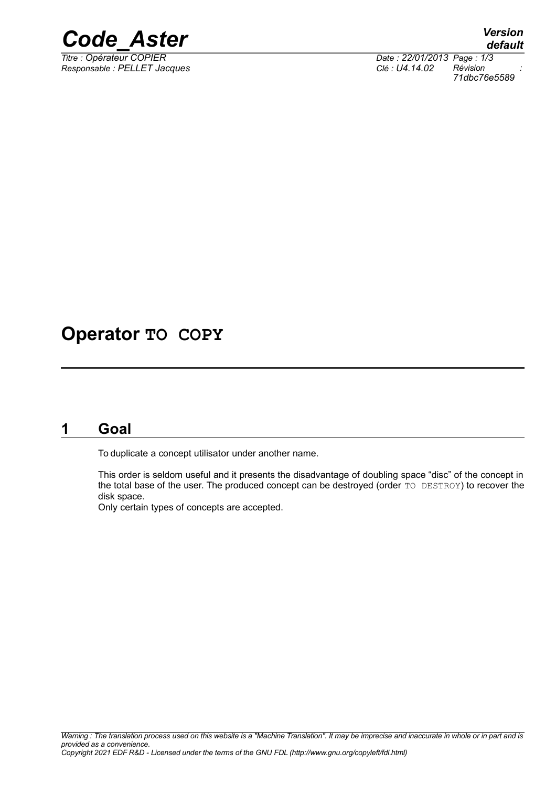

*Responsable : PELLET Jacques Clé : U4.14.02 Révision :*

*Titre : Opérateur COPIER Date : 22/01/2013 Page : 1/3 71dbc76e5589*

## **Operator TO COPY**

## **1 Goal**

To duplicate a concept utilisator under another name.

This order is seldom useful and it presents the disadvantage of doubling space "disc" of the concept in the total base of the user. The produced concept can be destroyed (order TO DESTROY) to recover the disk space.

Only certain types of concepts are accepted.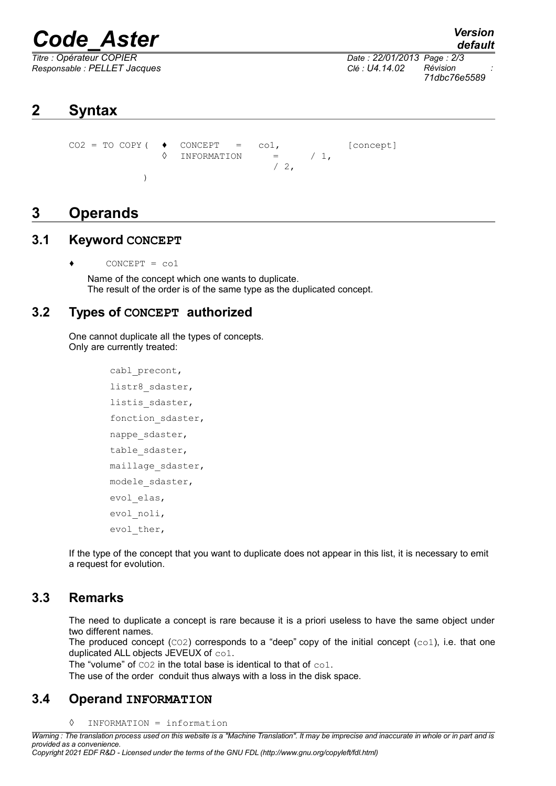# *Code\_Aster Version*

*Responsable : PELLET Jacques Clé : U4.14.02 Révision :*

*default Titre : Opérateur COPIER Date : 22/01/2013 Page : 2/3 71dbc76e5589*

## **2 Syntax**

 $CO2 = TO COPY$  (  $\bullet$  CONCEPT =  $co1$ , [concept]  $\Diamond$  INFORMATION = / 1,  $/2$ , )

### **3 Operands**

#### **3.1 Keyword CONCEPT**

 $CONCEPT = col$ 

Name of the concept which one wants to duplicate. The result of the order is of the same type as the duplicated concept.

#### **3.2 Types of CONCEPT authorized**

One cannot duplicate all the types of concepts. Only are currently treated:

```
cabl_precont,
listr8 sdaster,
listis sdaster,
fonction sdaster,
nappe sdaster,
table sdaster,
maillage sdaster,
modele_sdaster,
evol_elas,
evol_noli,
evol ther,
```
If the type of the concept that you want to duplicate does not appear in this list, it is necessary to emit a request for evolution.

#### **3.3 Remarks**

The need to duplicate a concept is rare because it is a priori useless to have the same object under two different names.

The produced concept  $(CO2)$  corresponds to a "deep" copy of the initial concept  $(cO1)$ , i.e. that one duplicated ALL objects JEVEUX of co1.

The "volume" of CO2 in the total base is identical to that of co1.

The use of the order conduit thus always with a loss in the disk space.

#### **3.4 Operand INFORMATION**

#### ◊ INFORMATION = information

*Warning : The translation process used on this website is a "Machine Translation". It may be imprecise and inaccurate in whole or in part and is provided as a convenience. Copyright 2021 EDF R&D - Licensed under the terms of the GNU FDL (http://www.gnu.org/copyleft/fdl.html)*